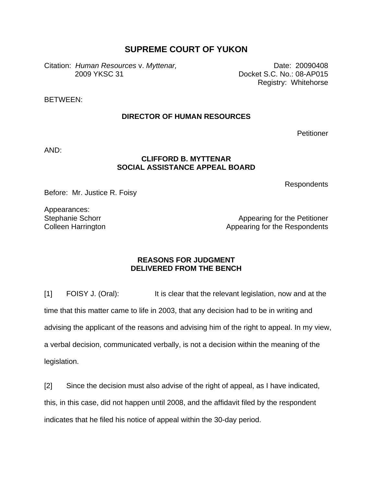## **SUPREME COURT OF YUKON**

Citation: *Human Resources* v. Myttenar, Date: 20090408 2009 YKSC 31 Docket S.C. No.: 08-AP015

Registry: Whitehorse

BETWEEN:

## **DIRECTOR OF HUMAN RESOURCES**

**Petitioner** 

AND:

## **CLIFFORD B. MYTTENAR SOCIAL ASSISTANCE APPEAL BOARD**

Respondents

Before: Mr. Justice R. Foisy

Appearances: Stephanie Schorr Colleen Harrington

Appearing for the Petitioner Appearing for the Respondents

## **REASONS FOR JUDGMENT DELIVERED FROM THE BENCH**

[1] FOISY J. (Oral): It is clear that the relevant legislation, now and at the time that this matter came to life in 2003, that any decision had to be in writing and advising the applicant of the reasons and advising him of the right to appeal. In my view, a verbal decision, communicated verbally, is not a decision within the meaning of the legislation.

[2] Since the decision must also advise of the right of appeal, as I have indicated, this, in this case, did not happen until 2008, and the affidavit filed by the respondent indicates that he filed his notice of appeal within the 30-day period.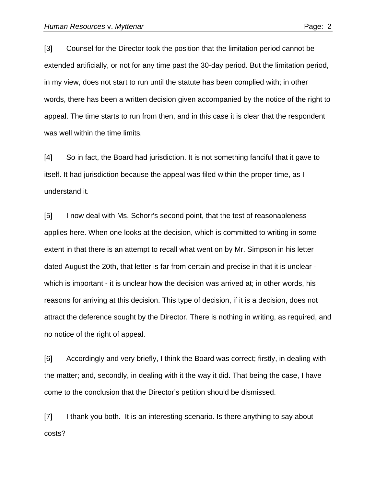[3] Counsel for the Director took the position that the limitation period cannot be extended artificially, or not for any time past the 30-day period. But the limitation period, in my view, does not start to run until the statute has been complied with; in other words, there has been a written decision given accompanied by the notice of the right to appeal. The time starts to run from then, and in this case it is clear that the respondent was well within the time limits.

[4] So in fact, the Board had jurisdiction. It is not something fanciful that it gave to itself. It had jurisdiction because the appeal was filed within the proper time, as I understand it.

[5] I now deal with Ms. Schorr's second point, that the test of reasonableness applies here. When one looks at the decision, which is committed to writing in some extent in that there is an attempt to recall what went on by Mr. Simpson in his letter dated August the 20th, that letter is far from certain and precise in that it is unclear which is important - it is unclear how the decision was arrived at; in other words, his reasons for arriving at this decision. This type of decision, if it is a decision, does not attract the deference sought by the Director. There is nothing in writing, as required, and no notice of the right of appeal.

[6] Accordingly and very briefly, I think the Board was correct; firstly, in dealing with the matter; and, secondly, in dealing with it the way it did. That being the case, I have come to the conclusion that the Director's petition should be dismissed.

[7] I thank you both. It is an interesting scenario. Is there anything to say about costs?